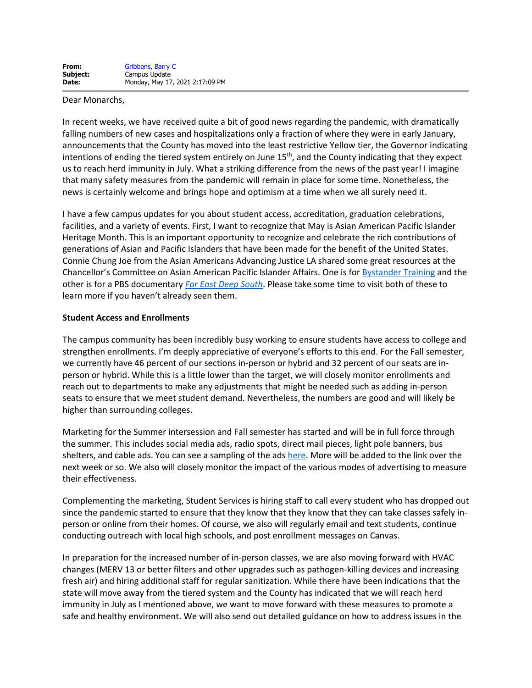Dear Monarchs,

In recent weeks, we have received quite a bit of good news regarding the pandemic, with dramatically falling numbers of new cases and hospitalizations only a fraction of where they were in early January, announcements that the County has moved into the least restrictive Yellow tier, the Governor indicating intentions of ending the tiered system entirely on June 15<sup>th</sup>, and the County indicating that they expect us to reach herd immunity in July. What a striking difference from the news of the past year! I imagine that many safety measures from the pandemic will remain in place for some time. Nonetheless, the news is certainly welcome and brings hope and optimism at a time when we all surely need it.

I have a few campus updates for you about student access, accreditation, graduation celebrations, facilities, and a variety of events. First, I want to recognize that May is Asian American Pacific Islander Heritage Month. This is an important opportunity to recognize and celebrate the rich contributions of generations of Asian and Pacific Islanders that have been made for the benefit of the United States. Connie Chung Joe from the Asian Americans Advancing Justice LA shared some great resources at the Chancellor's Committee on Asian American Pacific Islander Affairs. One is for [Bystander Training](https://advancingjustice-la.org/media-and-publications/press-releases/advancing-justice-los-angeles-launches-bystander-intervention) and the other is for a PBS documentary *[Far East Deep South](https://www.pbssocal.org/shows/america-reframed/episodes/america-reframed-far-east-deep-south)*. Please take some time to visit both of these to learn more if you haven't already seen them.

#### **Student Access and Enrollments**

The campus community has been incredibly busy working to ensure students have access to college and strengthen enrollments. I'm deeply appreciative of everyone's efforts to this end. For the Fall semester, we currently have 46 percent of our sections in-person or hybrid and 32 percent of our seats are inperson or hybrid. While this is a little lower than the target, we will closely monitor enrollments and reach out to departments to make any adjustments that might be needed such as adding in-person seats to ensure that we meet student demand. Nevertheless, the numbers are good and will likely be higher than surrounding colleges.

Marketing for the Summer intersession and Fall semester has started and will be in full force through the summer. This includes social media ads, radio spots, direct mail pieces, light pole banners, bus shelters, and cable ads. You can see a sampling of the ads [here.](https://lavc.edu/presidentsoffice/library/docs/Advertising-Campaign-2021/LAVC-2021-Advertising-Campaign.pdf) More will be added to the link over the next week or so. We also will closely monitor the impact of the various modes of advertising to measure their effectiveness.

Complementing the marketing, Student Services is hiring staff to call every student who has dropped out since the pandemic started to ensure that they know that they know that they can take classes safely inperson or online from their homes. Of course, we also will regularly email and text students, continue conducting outreach with local high schools, and post enrollment messages on Canvas.

In preparation for the increased number of in-person classes, we are also moving forward with HVAC changes (MERV 13 or better filters and other upgrades such as pathogen-killing devices and increasing fresh air) and hiring additional staff for regular sanitization. While there have been indications that the state will move away from the tiered system and the County has indicated that we will reach herd immunity in July as I mentioned above, we want to move forward with these measures to promote a safe and healthy environment. We will also send out detailed guidance on how to address issues in the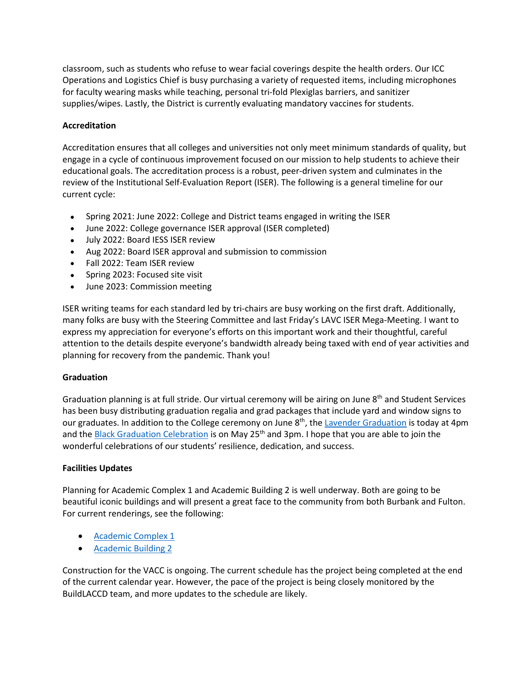classroom, such as students who refuse to wear facial coverings despite the health orders. Our ICC Operations and Logistics Chief is busy purchasing a variety of requested items, including microphones for faculty wearing masks while teaching, personal tri-fold Plexiglas barriers, and sanitizer supplies/wipes. Lastly, the District is currently evaluating mandatory vaccines for students.

# **Accreditation**

Accreditation ensures that all colleges and universities not only meet minimum standards of quality, but engage in a cycle of continuous improvement focused on our mission to help students to achieve their educational goals. The accreditation process is a robust, peer-driven system and culminates in the review of the Institutional Self-Evaluation Report (ISER). The following is a general timeline for our current cycle:

- Spring 2021: June 2022: College and District teams engaged in writing the ISER
- June 2022: College governance ISER approval (ISER completed)
- July 2022: Board IESS ISER review
- Aug 2022: Board ISER approval and submission to commission
- Fall 2022: Team ISER review
- Spring 2023: Focused site visit
- June 2023: Commission meeting

ISER writing teams for each standard led by tri-chairs are busy working on the first draft. Additionally, many folks are busy with the Steering Committee and last Friday's LAVC ISER Mega-Meeting. I want to express my appreciation for everyone's efforts on this important work and their thoughtful, careful attention to the details despite everyone's bandwidth already being taxed with end of year activities and planning for recovery from the pandemic. Thank you!

### **Graduation**

Graduation planning is at full stride. Our virtual ceremony will be airing on June 8<sup>th</sup> and Student Services has been busy distributing graduation regalia and grad packages that include yard and window signs to our graduates. In addition to the College ceremony on June 8<sup>th</sup>, th[e Lavender Graduation](http://2021lavendergrad.eventbrite.com/) is today at 4pm and th[e Black Graduation Celebration](https://docs.google.com/forms/d/e/1FAIpQLSe7-tL58JQow5RKx5Kmr2JwbrTPTKT9V5vNJKUaoaYjeGAfcA/viewform) is on May  $25<sup>th</sup>$  and 3pm. I hope that you are able to join the wonderful celebrations of our students' resilience, dedication, and success.

### **Facilities Updates**

Planning for Academic Complex 1 and Academic Building 2 is well underway. Both are going to be beautiful iconic buildings and will present a great face to the community from both Burbank and Fulton. For current renderings, see the following:

- [Academic Complex 1](https://lavc.edu/presidentsoffice/library/docs/2021/AC1-Pankow-QDG-Building-Project-Scope-Summary.pdf)
- [Academic Building 2](https://lavc.edu/presidentsoffice/library/docs/2021/AB2-Final-Exterior-Enevelop-Design.pdf)

Construction for the VACC is ongoing. The current schedule has the project being completed at the end of the current calendar year. However, the pace of the project is being closely monitored by the BuildLACCD team, and more updates to the schedule are likely.